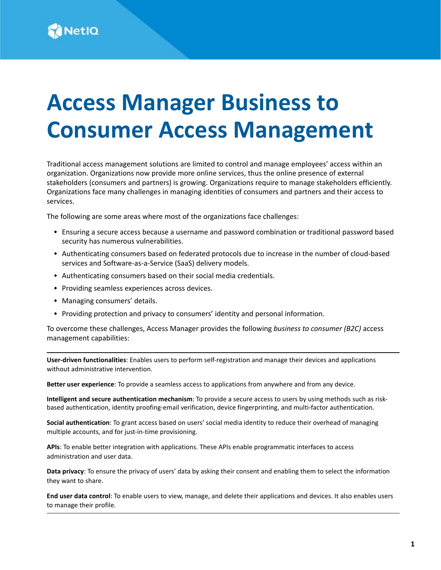# **Access Manager Business to Consumer Access Management**

Traditional access management solutions are limited to control and manage employees' access within an organization. Organizations now provide more online services, thus the online presence of external stakeholders (consumers and partners) is growing. Organizations require to manage stakeholders efficiently. Organizations face many challenges in managing identities of consumers and partners and their access to services.

The following are some areas where most of the organizations face challenges:

- Ensuring a secure access because a username and password combination or traditional password based security has numerous vulnerabilities.
- Authenticating consumers based on federated protocols due to increase in the number of cloud-based services and Software-as-a-Service (SaaS) delivery models.
- Authenticating consumers based on their social media credentials.
- Providing seamless experiences across devices.
- Managing consumers' details.
- Providing protection and privacy to consumers' identity and personal information.

To overcome these challenges, Access Manager provides the following *business to consumer (B2C)* access management capabilities:

**User-driven functionalities**: Enables users to perform self-registration and manage their devices and applications without administrative intervention.

**Better user experience**: To provide a seamless access to applications from anywhere and from any device.

**Intelligent and secure authentication mechanism**: To provide a secure access to users by using methods such as riskbased authentication, identity proofing-email verification, device fingerprinting, and multi-factor authentication.

**Social authentication**: To grant access based on users' social media identity to reduce their overhead of managing multiple accounts, and for just-in-time provisioning.

**APIs**: To enable better integration with applications. These APIs enable programmatic interfaces to access administration and user data.

**Data privacy**: To ensure the privacy of users' data by asking their consent and enabling them to select the information they want to share.

**End user data control**: To enable users to view, manage, and delete their applications and devices. It also enables users to manage their profile.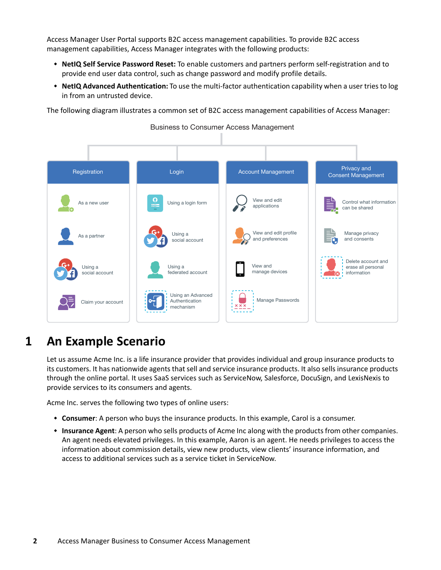Access Manager User Portal supports B2C access management capabilities. To provide B2C access management capabilities, Access Manager integrates with the following products:

- **NetIQ Self Service Password Reset:** To enable customers and partners perform self-registration and to provide end user data control, such as change password and modify profile details.
- **NetIQ Advanced Authentication:** To use the multi-factor authentication capability when a user tries to log in from an untrusted device.

The following diagram illustrates a common set of B2C access management capabilities of Access Manager:



Business to Consumer Access Management

# <span id="page-1-0"></span>**1 An Example Scenario**

Let us assume Acme Inc. is a life insurance provider that provides individual and group insurance products to its customers. It has nationwide agents that sell and service insurance products. It also sells insurance products through the online portal. It uses SaaS services such as ServiceNow, Salesforce, DocuSign, and LexisNexis to provide services to its consumers and agents.

Acme Inc. serves the following two types of online users:

- **Consumer**: A person who buys the insurance products. In this example, Carol is a consumer.
- **Insurance Agent**: A person who sells products of Acme Inc along with the products from other companies. An agent needs elevated privileges. In this example, Aaron is an agent. He needs privileges to access the information about commission details, view new products, view clients' insurance information, and access to additional services such as a service ticket in ServiceNow.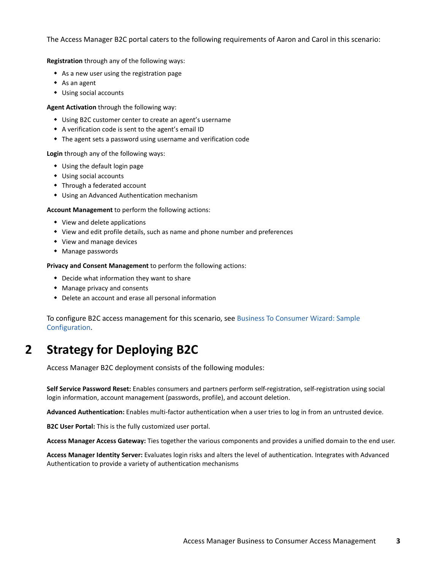The Access Manager B2C portal caters to the following requirements of Aaron and Carol in this scenario:

**Registration** through any of the following ways:

- As a new user using the registration page
- As an agent
- Using social accounts

**Agent Activation** through the following way:

- Using B2C customer center to create an agent's username
- A verification code is sent to the agent's email ID
- The agent sets a password using username and verification code

**Login** through any of the following ways:

- Using the default login page
- Using social accounts
- Through a federated account
- Using an Advanced Authentication mechanism

**Account Management** to perform the following actions:

- View and delete applications
- View and edit profile details, such as name and phone number and preferences
- View and manage devices
- Manage passwords

**Privacy and Consent Management** to perform the following actions:

- Decide what information they want to share
- Manage privacy and consents
- Delete an account and erase all personal information

To configure B2C access management for this scenario, see [Business To Consumer Wizard: Sample](#page-23-0)  [Configuration.](#page-23-0)

# **2 Strategy for Deploying B2C**

Access Manager B2C deployment consists of the following modules:

**Self Service Password Reset:** Enables consumers and partners perform self-registration, self-registration using social login information, account management (passwords, profile), and account deletion.

**Advanced Authentication:** Enables multi-factor authentication when a user tries to log in from an untrusted device.

**B2C User Portal:** This is the fully customized user portal.

**Access Manager Access Gateway:** Ties together the various components and provides a unified domain to the end user.

**Access Manager Identity Server:** Evaluates login risks and alters the level of authentication. Integrates with Advanced Authentication to provide a variety of authentication mechanisms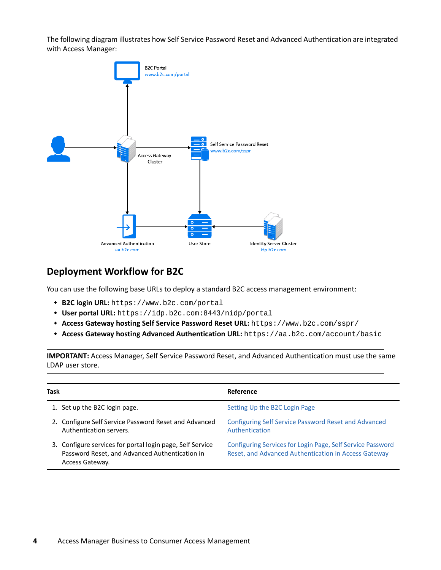The following diagram illustrates how Self Service Password Reset and Advanced Authentication are integrated with Access Manager:



### **Deployment Workflow for B2C**

You can use the following base URLs to deploy a standard B2C access management environment:

- **B2C login URL:** https://www.b2c.com/portal
- **User portal URL:** https://idp.b2c.com:8443/nidp/portal
- **Access Gateway hosting Self Service Password Reset URL:** https://www.b2c.com/sspr/
- **Access Gateway hosting Advanced Authentication URL:** https://aa.b2c.com/account/basic

**IMPORTANT:** Access Manager, Self Service Password Reset, and Advanced Authentication must use the same LDAP user store.

| Task |                                                                                                                                | <b>Reference</b>                                                                                                   |
|------|--------------------------------------------------------------------------------------------------------------------------------|--------------------------------------------------------------------------------------------------------------------|
|      | 1. Set up the B2C login page.                                                                                                  | Setting Up the B2C Login Page                                                                                      |
|      | 2. Configure Self Service Password Reset and Advanced<br>Authentication servers.                                               | Configuring Self Service Password Reset and Advanced<br>Authentication                                             |
|      | 3. Configure services for portal login page, Self Service<br>Password Reset, and Advanced Authentication in<br>Access Gateway. | Configuring Services for Login Page, Self Service Password<br>Reset, and Advanced Authentication in Access Gateway |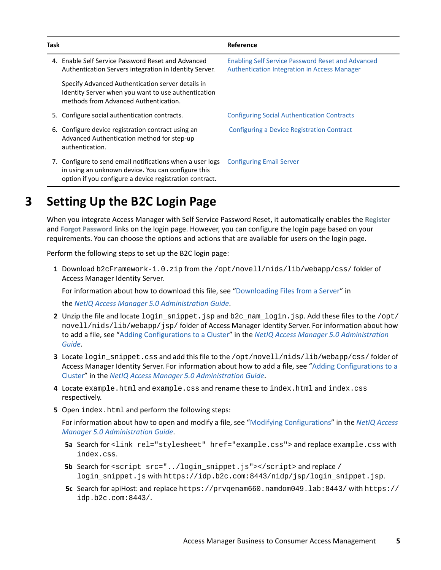| Task |                                                                                                                                                                            | Reference                                                                                                       |
|------|----------------------------------------------------------------------------------------------------------------------------------------------------------------------------|-----------------------------------------------------------------------------------------------------------------|
|      | 4. Enable Self Service Password Reset and Advanced<br>Authentication Servers integration in Identity Server.                                                               | <b>Enabling Self Service Password Reset and Advanced</b><br><b>Authentication Integration in Access Manager</b> |
|      | Specify Advanced Authentication server details in<br>Identity Server when you want to use authentication<br>methods from Advanced Authentication.                          |                                                                                                                 |
|      | 5. Configure social authentication contracts.                                                                                                                              | <b>Configuring Social Authentication Contracts</b>                                                              |
|      | 6. Configure device registration contract using an<br>Advanced Authentication method for step-up<br>authentication.                                                        | Configuring a Device Registration Contract                                                                      |
|      | 7. Configure to send email notifications when a user logs<br>in using an unknown device. You can configure this<br>option if you configure a device registration contract. | <b>Configuring Email Server</b>                                                                                 |

# <span id="page-4-0"></span>**3 Setting Up the B2C Login Page**

When you integrate Access Manager with Self Service Password Reset, it automatically enables the **Register** and **Forgot Password** links on the login page. However, you can configure the login page based on your requirements. You can choose the options and actions that are available for users on the login page.

Perform the following steps to set up the B2C login page:

**1** Download b2cFramework-1.0.zip from the /opt/novell/nids/lib/webapp/css/ folder of Access Manager Identity Server.

For information about how to download this file, see "[Downloading Files from a Server"](https://www.microfocus.com/documentation/access-manager/5.0/pdfdoc/admin/admin.pdf#downloadserverfile) in

the *[NetIQ Access Manager 5.0 Administration Guide](https://www.microfocus.com/documentation/access-manager/5.0/pdfdoc/admin/admin.pdf#bookinfo)*.

- **2** Unzip the file and locate login\_snippet.jsp and b2c\_nam\_login.jsp. Add these files to the /opt/ novell/nids/lib/webapp/jsp/ folder of Access Manager Identity Server. For information about how to add a file, see ["Adding Configurations to a Cluster](https://www.microfocus.com/documentation/access-manager/5.0/pdfdoc/admin/admin.pdf#addconfigcluster)" in the *[NetIQ Access Manager 5.0 Administration](https://www.microfocus.com/documentation/access-manager/5.0/pdfdoc/admin/admin.pdf#bookinfo)  [Guide](https://www.microfocus.com/documentation/access-manager/5.0/pdfdoc/admin/admin.pdf#bookinfo)*.
- **3** Locate login snippet.css and add this file to the /opt/novell/nids/lib/webapp/css/ folder of Access Manager Identity Server. For information about how to add a file, see "[Adding Configurations to a](https://www.microfocus.com/documentation/access-manager/5.0/pdfdoc/admin/admin.pdf#addconfigcluster)  [Cluster](https://www.microfocus.com/documentation/access-manager/5.0/pdfdoc/admin/admin.pdf#addconfigcluster)" in the *[NetIQ Access Manager 5.0 Administration Guide](https://www.microfocus.com/documentation/access-manager/5.0/pdfdoc/admin/admin.pdf#bookinfo)*.
- **4** Locate example.html and example.css and rename these to index.html and index.css respectively.
- **5** Open index.html and perform the following steps:

For information about how to open and modify a file, see ["Modifying Configurations"](https://www.microfocus.com/documentation/access-manager/5.0/pdfdoc/admin/admin.pdf#modconfigfile) in the *[NetIQ Access](https://www.microfocus.com/documentation/access-manager/5.0/pdfdoc/admin/admin.pdf#bookinfo)  [Manager 5.0 Administration Guide](https://www.microfocus.com/documentation/access-manager/5.0/pdfdoc/admin/admin.pdf#bookinfo)*.

- **5a** Search for <link rel="stylesheet" href="example.css"> and replace example.css with index.css.
- **5b** Search for <script src="../login\_snippet.js"></script> and replace / login\_snippet.js with https://idp.b2c.com:8443/nidp/jsp/login\_snippet.jsp.
- **5c** Search for apiHost: and replace https://prvqenam660.namdom049.lab:8443/ with https:// idp.b2c.com:8443/.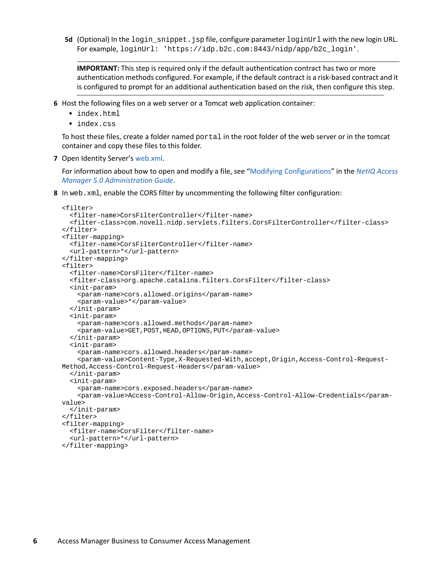**5d** (Optional) In the login\_snippet.jsp file, configure parameter loginUrl with the new login URL. For example, loginUrl: 'https://idp.b2c.com:8443/nidp/app/b2c\_login'.

**IMPORTANT:** This step is required only if the default authentication contract has two or more authentication methods configured. For example, if the default contract is a risk-based contract and it is configured to prompt for an additional authentication based on the risk, then configure this step.

- **6** Host the following files on a web server or a Tomcat web application container:
	- index.html
	- index.css

To host these files, create a folder named portal in the root folder of the web server or in the tomcat container and copy these files to this folder.

**7** Open Identity Server's [web.xml.](https://www.microfocus.com/documentation/access-manager/5.0/pdfdoc/admin/admin.pdf#t4dwgv07lkzs)

For information about how to open and modify a file, see ["Modifying Configurations"](https://www.microfocus.com/documentation/access-manager/5.0/pdfdoc/admin/admin.pdf#modconfigfile) in the *[NetIQ Access](https://www.microfocus.com/documentation/access-manager/5.0/pdfdoc/admin/admin.pdf#bookinfo)  [Manager 5.0 Administration Guide](https://www.microfocus.com/documentation/access-manager/5.0/pdfdoc/admin/admin.pdf#bookinfo)*.

**8** In web.xml, enable the CORS filter by uncommenting the following filter configuration:

```
<filter>
   <filter-name>CorsFilterController</filter-name>
   <filter-class>com.novell.nidp.servlets.filters.CorsFilterController</filter-class>
</filter>
<filter-mapping>
   <filter-name>CorsFilterController</filter-name>
   <url-pattern>*</url-pattern>
</filter-mapping>
<filter>
   <filter-name>CorsFilter</filter-name>
   <filter-class>org.apache.catalina.filters.CorsFilter</filter-class>
   <init-param>
     <param-name>cors.allowed.origins</param-name>
     <param-value>*</param-value>
   </init-param>
   <init-param>
     <param-name>cors.allowed.methods</param-name>
     <param-value>GET,POST,HEAD,OPTIONS,PUT</param-value>
   </init-param>
   <init-param>
     <param-name>cors.allowed.headers</param-name>
     <param-value>Content-Type,X-Requested-With,accept,Origin,Access-Control-Request-
Method,Access-Control-Request-Headers</param-value>
   </init-param>
   <init-param>
     <param-name>cors.exposed.headers</param-name>
     <param-value>Access-Control-Allow-Origin,Access-Control-Allow-Credentials</param-
value>
   </init-param>
</filter>
<filter-mapping>
   <filter-name>CorsFilter</filter-name>
   <url-pattern>*</url-pattern>
</filter-mapping>
```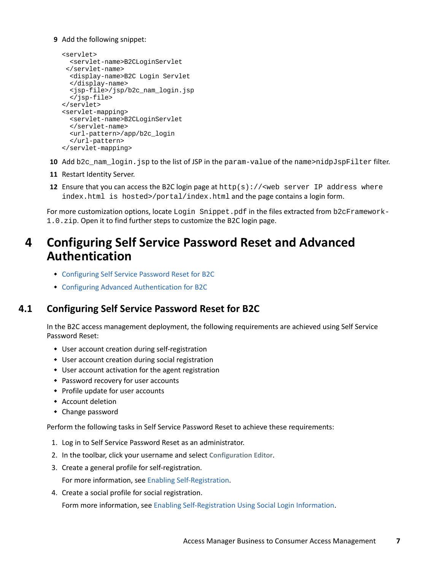#### **9** Add the following snippet:

```
<servlet>
   <servlet-name>B2CLoginServlet
  </servlet-name>
   <display-name>B2C Login Servlet
   </display-name>
   <jsp-file>/jsp/b2c_nam_login.jsp
   </jsp-file>
</servlet>
<servlet-mapping>
   <servlet-name>B2CLoginServlet
   </servlet-name>
   <url-pattern>/app/b2c_login
   </url-pattern>
</servlet-mapping>
```
- **10** Add b2c\_nam\_login.jsp to the list of JSP in the param-value of the name>nidpJspFilter filter.
- **11** Restart Identity Server.
- **12** Ensure that you can access the B2C login page at  $http://web server IP address where$ index.html is hosted>/portal/index.html and the page contains a login form.

For more customization options, locate Login Snippet.pdf in the files extracted from b2cFramework-1.0.zip. Open it to find further steps to customize the B2C login page.

### <span id="page-6-0"></span>**4 Configuring Self Service Password Reset and Advanced Authentication**

- [Configuring Self Service Password Reset for B2C](#page-6-1)
- [Configuring Advanced Authentication for B2C](#page-10-1)

### <span id="page-6-1"></span>**4.1 Configuring Self Service Password Reset for B2C**

In the B2C access management deployment, the following requirements are achieved using Self Service Password Reset:

- User account creation during self-registration
- User account creation during social registration
- User account activation for the agent registration
- Password recovery for user accounts
- Profile update for user accounts
- Account deletion
- Change password

Perform the following tasks in Self Service Password Reset to achieve these requirements:

- 1. Log in to Self Service Password Reset as an administrator.
- 2. In the toolbar, click your username and select **Configuration Editor**.
- 3. Create a general profile for self-registration.

For more information, see [Enabling Self-Registration](#page-7-0).

4. Create a social profile for social registration.

Form more information, see [Enabling Self-Registration Using Social Login Information](#page-8-0).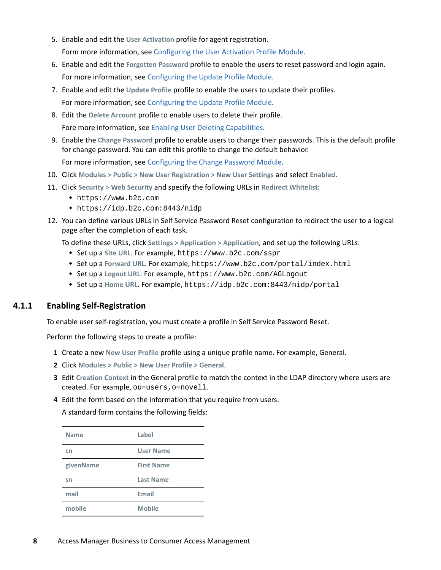- 5. Enable and edit the **User Activation** profile for agent registration. Form more information, se[e Configuring the User Activation Profile Module.](https://www.netiq.com/documentation/self-service-password-reset-42/sspr-adminguide/data/b14knuop.html)
- 6. Enable and edit the **Forgotten Password** profile to enable the users to reset password and login again. For more information, se[e Configuring the Update Profile Module.](https://www.netiq.com/documentation/self-service-password-reset-42/sspr-adminguide/data/b1ggnqpg.html)
- 7. Enable and edit the **Update Profile** profile to enable the users to update their profiles. For more information, se[e Configuring the Update Profile Module.](https://www.netiq.com/documentation/self-service-password-reset-42/sspr-adminguide/data/b14knvb3.html)
- 8. Edit the **Delete Account** profile to enable users to delete their profile. Fore more information, see [Enabling User Deleting Capabilities](#page-9-0).
- 9. Enable the **Change Password** profile to enable users to change their passwords. This is the default profile for change password. You can edit this profile to change the default behavior.

For more information, see [Configuring the Change Password Module](https://www.netiq.com/documentation/self-service-password-reset-42/sspr-adminguide/data/b14knh9k.html).

- 10. Click **Modules > Public > New User Registration > New User Settings** and select **Enabled**.
- 11. Click **Security > Web Security** and specify the following URLs in **Redirect Whitelist**:
	- https://www.b2c.com
	- https://idp.b2c.com:8443/nidp
- 12. You can define various URLs in Self Service Password Reset configuration to redirect the user to a logical page after the completion of each task.

To define these URLs, click **Settings > Application > Application**, and set up the following URLs:

- Set up a **Site URL**. For example, https://www.b2c.com/sspr
- Set up a **Forward URL**. For example, https://www.b2c.com/portal/index.html
- Set up a **Logout URL**. For example, https://www.b2c.com/AGLogout
- Set up a **Home URL**. For example, https://idp.b2c.com:8443/nidp/portal

#### <span id="page-7-0"></span>**4.1.1 Enabling Self-Registration**

To enable user self-registration, you must create a profile in Self Service Password Reset.

Perform the following steps to create a profile:

- **1** Create a new **New User Profile** profile using a unique profile name. For example, General.
- **2** Click **Modules > Public > New User Profile > General**.
- **3** Edit **Creation Context** in the General profile to match the context in the LDAP directory where users are created. For example, ou=users,o=novell.
- **4** Edit the form based on the information that you require from users.

A standard form contains the following fields:

| <b>Name</b> | Label             |
|-------------|-------------------|
| cn          | <b>User Name</b>  |
| givenName   | <b>First Name</b> |
| sn          | <b>Last Name</b>  |
| mail        | <b>Email</b>      |
| mobile      | <b>Mobile</b>     |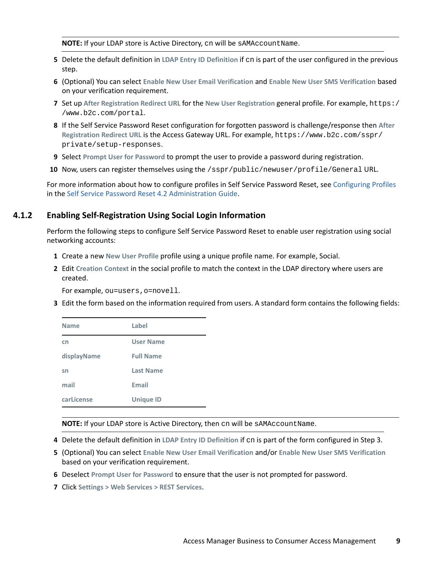**NOTE:** If your LDAP store is Active Directory, cn will be sAMAccountName.

- **5** Delete the default definition in **LDAP Entry ID Definition** if cn is part of the user configured in the previous step.
- **6** (Optional) You can select **Enable New User Email Verification** and **Enable New User SMS Verification** based on your verification requirement.
- **7** Set up **After Registration Redirect URL** for the **New User Registration** general profile. For example, https:/ /www.b2c.com/portal.
- **8** If the Self Service Password Reset configuration for forgotten password is challenge/response then **After Registration Redirect URL** is the Access Gateway URL. For example, https://www.b2c.com/sspr/ private/setup-responses.
- **9** Select **Prompt User for Password** to prompt the user to provide a password during registration.
- **10** Now, users can register themselves using the /sspr/public/newuser/profile/General URL.

For more information about how to configure profiles in Self Service Password Reset, see [Configuring Profiles](https://www.netiq.com/documentation/self-service-password-reset-42/sspr-adminguide/data/t41w0qfruh1o.html) in the [Self Service Password Reset 4.2 Administration Guide.](https://www.netiq.com/documentation/self-service-password-reset-42/sspr-adminguide/data/bookinfo.html)

#### <span id="page-8-0"></span>**4.1.2 Enabling Self-Registration Using Social Login Information**

Perform the following steps to configure Self Service Password Reset to enable user registration using social networking accounts:

- **1** Create a new **New User Profile** profile using a unique profile name. For example, Social.
- **2** Edit **Creation Context** in the social profile to match the context in the LDAP directory where users are created.

For example, ou=users,o=novell.

**3** Edit the form based on the information required from users. A standard form contains the following fields:

| <b>Name</b> | Label            |
|-------------|------------------|
| cn          | <b>User Name</b> |
| displayName | <b>Full Name</b> |
| sn          | <b>Last Name</b> |
| mail        | <b>Email</b>     |
| carLicense  | <b>Unique ID</b> |

**NOTE:** If your LDAP store is Active Directory, then cn will be sAMAccountName.

- **4** Delete the default definition in **LDAP Entry ID Definition** if cn is part of the form configured in Step 3.
- **5** (Optional) You can select **Enable New User Email Verification** and/or **Enable New User SMS Verification** based on your verification requirement.
- **6** Deselect **Prompt User for Password** to ensure that the user is not prompted for password.
- **7** Click **Settings > Web Services > REST Services**.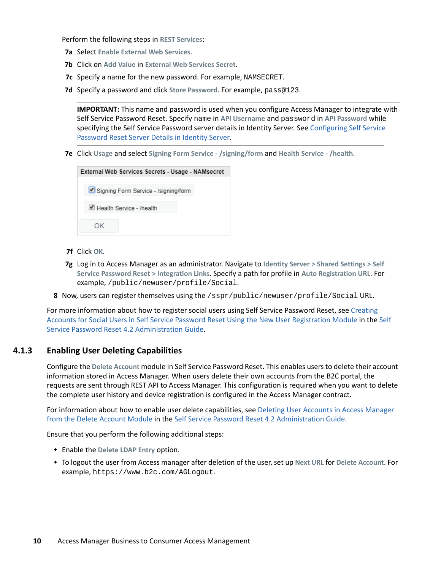Perform the following steps in **REST Services**:

- **7a** Select **Enable External Web Services**.
- **7b** Click on **Add Value** in **External Web Services Secret**.
- **7c** Specify a name for the new password. For example, NAMSECRET.
- **7d** Specify a password and click **Store Password**. For example, pass@123.

**IMPORTANT:** This name and password is used when you configure Access Manager to integrate with Self Service Password Reset. Specify name in **API Username** and password in **API Password** while specifying the Self Service Password server details in Identity Server. See [Configuring Self Service](#page-15-0)  [Password Reset Server Details in Identity Server](#page-15-0).

**7e** Click **Usage** and select **Signing Form Service - /signing/form** and **Health Service - /health**.

| External Web Services Secrets - Usage - NAMsecret |                                      |  |  |
|---------------------------------------------------|--------------------------------------|--|--|
|                                                   | Signing Form Service - /signing/form |  |  |
|                                                   | Health Service - /health             |  |  |
|                                                   |                                      |  |  |

- **7f** Click **OK**.
- **7g** Log in to Access Manager as an administrator. Navigate to **Identity Server > Shared Settings > Self Service Password Reset > Integration Links**. Specify a path for profile in **Auto Registration URL**. For example, /public/newuser/profile/Social.
- **8** Now, users can register themselves using the /sspr/public/newuser/profile/Social URL.

For more information about how to register social users using Self Service Password Reset, see [Creating](https://www.netiq.com/documentation/self-service-password-reset-42/sspr-adminguide/data/t43milg959i5.html#t43mjeqte4xz)  [Accounts for Social Users in Self Service Password Reset Using the New User Registration Module](https://www.netiq.com/documentation/self-service-password-reset-42/sspr-adminguide/data/t43milg959i5.html#t43mjeqte4xz) in the [Self](https://www.netiq.com/documentation/self-service-password-reset-42/sspr-adminguide/data/bookinfo.html)  [Service Password Reset 4.2 Administration Guide.](https://www.netiq.com/documentation/self-service-password-reset-42/sspr-adminguide/data/bookinfo.html)

#### <span id="page-9-0"></span>**4.1.3 Enabling User Deleting Capabilities**

Configure the **Delete Account** module in Self Service Password Reset. This enables users to delete their account information stored in Access Manager. When users delete their own accounts from the B2C portal, the requests are sent through REST API to Access Manager. This configuration is required when you want to delete the complete user history and device registration is configured in the Access Manager contract.

For information about how to enable user delete capabilities, see [Deleting User Accounts in Access Manager](https://www.netiq.com/documentation/self-service-password-reset-42/sspr-adminguide/data/t41u798dzatw.html#t43v4wntk846)  [from the Delete Account Module](https://www.netiq.com/documentation/self-service-password-reset-42/sspr-adminguide/data/t41u798dzatw.html#t43v4wntk846) in the [Self Service Password Reset 4.2 Administration Guide](https://www.netiq.com/documentation/self-service-password-reset-42/sspr-adminguide/data/bookinfo.html).

Ensure that you perform the following additional steps:

- Enable the **Delete LDAP Entry** option.
- To logout the user from Access manager after deletion of the user, set up **Next URL** for **Delete Account**. For example, https://www.b2c.com/AGLogout.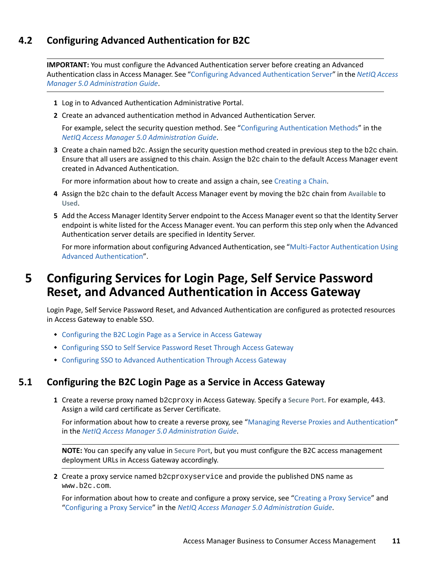### <span id="page-10-1"></span>**4.2 Configuring Advanced Authentication for B2C**

**IMPORTANT:** You must configure the Advanced Authentication server before creating an Advanced Authentication class in Access Manager. See ["Configuring Advanced Authentication Server"](https://www.microfocus.com/documentation/access-manager/5.0/pdfdoc/admin/admin.pdf#advauthserver) in the *[NetIQ Access](https://www.microfocus.com/documentation/access-manager/5.0/pdfdoc/admin/admin.pdf#bookinfo)  [Manager 5.0 Administration Guide](https://www.microfocus.com/documentation/access-manager/5.0/pdfdoc/admin/admin.pdf#bookinfo)*.

- **1** Log in to Advanced Authentication Administrative Portal.
- **2** Create an advanced authentication method in Advanced Authentication Server.

For example, select the security question method. See ["Configuring Authentication Methods](https://www.microfocus.com/documentation/access-manager/5.0/pdfdoc/admin/admin.pdf#configureauthmethod)" in the *[NetIQ Access Manager 5.0 Administration Guide](https://www.microfocus.com/documentation/access-manager/5.0/pdfdoc/admin/admin.pdf#bookinfo)*.

**3** Create a chain named b2c. Assign the security question method created in previous step to the b2c chain. Ensure that all users are assigned to this chain. Assign the b2c chain to the default Access Manager event created in Advanced Authentication.

For more information about how to create and assign a chain, see [Creating a Chain.](https://www.netiq.com/documentation/advanced-authentication-56/server-administrator-guide/data/creating_chain.html)

- **4** Assign the b2c chain to the default Access Manager event by moving the b2c chain from **Available** to **Used**.
- **5** Add the Access Manager Identity Server endpoint to the Access Manager event so that the Identity Server endpoint is white listed for the Access Manager event. You can perform this step only when the Advanced Authentication server details are specified in Identity Server.

For more information about configuring Advanced Authentication, see "[Multi-Factor Authentication Using](https://www.microfocus.com/documentation/access-manager/5.0/pdfdoc/nam_aa_integration_guide/nam_aa_integration_guide.pdf#namaaintegrationguide)  [Advanced Authentication"](https://www.microfocus.com/documentation/access-manager/5.0/pdfdoc/nam_aa_integration_guide/nam_aa_integration_guide.pdf#namaaintegrationguide).

### <span id="page-10-0"></span>**5 Configuring Services for Login Page, Self Service Password Reset, and Advanced Authentication in Access Gateway**

Login Page, Self Service Password Reset, and Advanced Authentication are configured as protected resources in Access Gateway to enable SSO.

- [Configuring the B2C Login Page as a Service in Access Gateway](#page-10-2)
- [Configuring SSO to Self Service Password Reset Through Access Gateway](#page-11-0)
- [Configuring SSO to Advanced Authentication Through Access Gateway](#page-12-0)

### <span id="page-10-2"></span>**5.1 Configuring the B2C Login Page as a Service in Access Gateway**

<span id="page-10-4"></span>**1** Create a reverse proxy named b2cproxy in Access Gateway. Specify a **Secure Port**. For example, 443. Assign a wild card certificate as Server Certificate.

For information about how to create a reverse proxy, see ["Managing Reverse Proxies and Authentication](https://www.microfocus.com/documentation/access-manager/5.0/pdfdoc/admin/admin.pdf#reverselist)" in the *[NetIQ Access Manager 5.0 Administration Guide](https://www.microfocus.com/documentation/access-manager/5.0/pdfdoc/admin/admin.pdf#bookinfo)*.

**NOTE:** You can specify any value in **Secure Port**, but you must configure the B2C access management deployment URLs in Access Gateway accordingly.

<span id="page-10-3"></span>**2** Create a proxy service named b2cproxyservice and provide the published DNS name as www.b2c.com.

For information about how to create and configure a proxy service, see "[Creating a Proxy Service](https://www.microfocus.com/documentation/access-manager/5.0/pdfdoc/admin/admin.pdf#reverse)" and "[Configuring a Proxy Service"](https://www.microfocus.com/documentation/access-manager/5.0/pdfdoc/admin/admin.pdf#host) in the *[NetIQ Access Manager 5.0 Administration Guide](https://www.microfocus.com/documentation/access-manager/5.0/pdfdoc/admin/admin.pdf#bookinfo)*.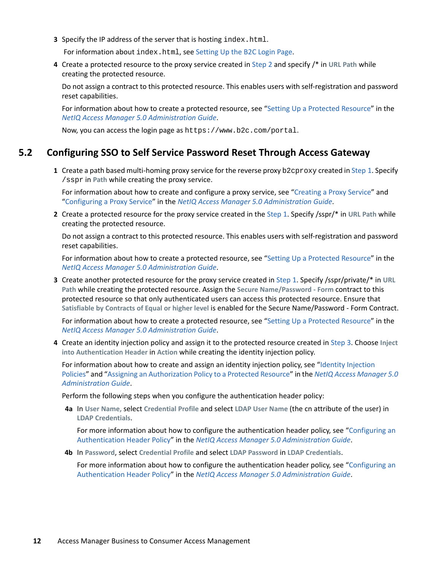**3** Specify the IP address of the server that is hosting index.html.

For information about index.html, see [Setting Up the B2C Login Page.](#page-4-0)

**4** Create a protected resource to the proxy service created in [Step 2](#page-10-3) and specify /\* in **URL Path** while creating the protected resource.

Do not assign a contract to this protected resource. This enables users with self-registration and password reset capabilities.

For information about how to create a protected resource, see ["Setting Up a Protected Resource"](https://www.microfocus.com/documentation/access-manager/5.0/pdfdoc/admin/admin.pdf#proverview) in the *[NetIQ Access Manager 5.0 Administration Guide](https://www.microfocus.com/documentation/access-manager/5.0/pdfdoc/admin/admin.pdf#bookinfo)*.

Now, you can access the login page as https://www.b2c.com/portal.

### <span id="page-11-0"></span>**5.2 Configuring SSO to Self Service Password Reset Through Access Gateway**

<span id="page-11-2"></span>**1** Create a path based multi-homing proxy service for the reverse proxy b2cproxy created in [Step 1](#page-10-4). Specify /sspr in **Path** while creating the proxy service.

For information about how to create and configure a proxy service, see "[Creating a Proxy Service](https://www.microfocus.com/documentation/access-manager/5.0/pdfdoc/admin/admin.pdf#reverse)" and "[Configuring a Proxy Service"](https://www.microfocus.com/documentation/access-manager/5.0/pdfdoc/admin/admin.pdf#host) in the *[NetIQ Access Manager 5.0 Administration Guide](https://www.microfocus.com/documentation/access-manager/5.0/pdfdoc/admin/admin.pdf#bookinfo)*.

**2** Create a protected resource for the proxy service created in the [Step 1.](#page-11-2) Specify /sspr/\* in **URL Path** while creating the protected resource.

Do not assign a contract to this protected resource. This enables users with self-registration and password reset capabilities.

For information about how to create a protected resource, see ["Setting Up a Protected Resource"](https://www.microfocus.com/documentation/access-manager/5.0/pdfdoc/admin/admin.pdf#proverview) in the *[NetIQ Access Manager 5.0 Administration Guide](https://www.microfocus.com/documentation/access-manager/5.0/pdfdoc/admin/admin.pdf#bookinfo)*.

<span id="page-11-1"></span>**3** Create another protected resource for the proxy service created in [Step 1.](#page-11-2) Specify /sspr/private/\* in **URL Path** while creating the protected resource. Assign the **Secure Name/Password - Form** contract to this protected resource so that only authenticated users can access this protected resource. Ensure that **Satisfiable by Contracts of Equal or higher level** is enabled for the Secure Name/Password - Form Contract.

For information about how to create a protected resource, see ["Setting Up a Protected Resource"](https://www.microfocus.com/documentation/access-manager/5.0/pdfdoc/admin/admin.pdf#proverview) in the *[NetIQ Access Manager 5.0 Administration Guide](https://www.microfocus.com/documentation/access-manager/5.0/pdfdoc/admin/admin.pdf#bookinfo)*.

**4** Create an identity injection policy and assign it to the protected resource created in [Step 3](#page-11-1). Choose **Inject into Authentication Header** in **Action** while creating the identity injection policy.

For information about how to create and assign an identity injection policy, see "Identity Injection [Policies](https://www.microfocus.com/documentation/access-manager/5.0/pdfdoc/admin/admin.pdf#b5547ku)" and ["Assigning an Authorization Policy to a Protected Resource"](https://www.microfocus.com/documentation/access-manager/5.0/pdfdoc/admin/admin.pdf#prauthorization) in the *[NetIQ Access Manager 5.0](https://www.microfocus.com/documentation/access-manager/5.0/pdfdoc/admin/admin.pdf#bookinfo)  [Administration Guide](https://www.microfocus.com/documentation/access-manager/5.0/pdfdoc/admin/admin.pdf#bookinfo)*.

Perform the following steps when you configure the authentication header policy:

**4a** In **User Name,** select **Credential Profile** and select **LDAP User Name** (the cn attribute of the user) in **LDAP Credentials**.

For more information about how to configure the authentication header policy, see "[Configuring an](https://www.microfocus.com/documentation/access-manager/5.0/pdfdoc/admin/admin.pdf#b48p40j)  [Authentication Header Policy"](https://www.microfocus.com/documentation/access-manager/5.0/pdfdoc/admin/admin.pdf#b48p40j) in the *[NetIQ Access Manager 5.0 Administration Guide](https://www.microfocus.com/documentation/access-manager/5.0/pdfdoc/admin/admin.pdf#bookinfo)*.

**4b** In **Password**, select **Credential Profile** and select **LDAP Password** in **LDAP Credentials**.

For more information about how to configure the authentication header policy, see "[Configuring an](https://www.microfocus.com/documentation/access-manager/5.0/pdfdoc/admin/admin.pdf#b48p40j)  [Authentication Header Policy"](https://www.microfocus.com/documentation/access-manager/5.0/pdfdoc/admin/admin.pdf#b48p40j) in the *[NetIQ Access Manager 5.0 Administration Guide](https://www.microfocus.com/documentation/access-manager/5.0/pdfdoc/admin/admin.pdf#bookinfo)*.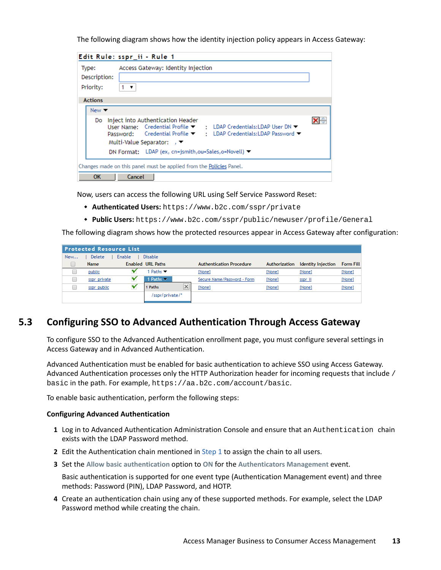The following diagram shows how the identity injection policy appears in Access Gateway:

|                                    | Edit Rule: sspr_ii - Rule 1                                                                                                                                                                                      |    |
|------------------------------------|------------------------------------------------------------------------------------------------------------------------------------------------------------------------------------------------------------------|----|
| Type:<br>Description:<br>Priority: | Access Gateway: Identity Injection<br>1 ▼                                                                                                                                                                        |    |
| <b>Actions</b>                     |                                                                                                                                                                                                                  |    |
| New $\blacktriangledown$           |                                                                                                                                                                                                                  |    |
| Do.                                | Inject into Authentication Header<br>User Name: Credential Profile ▼ : LDAP Credentials:LDAP User DN ▼<br>Password: Credential Profile ▼ : LDAP Credentials:LDAP Password ▼<br>Multi-Value Separator: $\sqrt{ }$ | ×⊨ |
|                                    | DN Format: LDAP (ex, cn=jsmith,ou=Sales,o=Novell) ▼                                                                                                                                                              |    |
|                                    | Changes made on this panel must be applied from the Policies Panel.                                                                                                                                              |    |
| ок                                 | Cancel                                                                                                                                                                                                           |    |

Now, users can access the following URL using Self Service Password Reset:

- **Authenticated Users:** https://www.b2c.com/sspr/private
- **Public Users:** https://www.b2c.com/sspr/public/newuser/profile/General

The following diagram shows how the protected resources appear in Access Gateway after configuration:

|     | <b>Protected Resource List.</b> |        |                            |          |                                 |               |                           |                  |
|-----|---------------------------------|--------|----------------------------|----------|---------------------------------|---------------|---------------------------|------------------|
| New | Delete                          | Enable | <b>Disable</b>             |          |                                 |               |                           |                  |
|     | <b>Name</b>                     |        | <b>Enabled URL Paths</b>   |          | <b>Authentication Procedure</b> | Authorization | <b>Identity Injection</b> | <b>Form Fill</b> |
|     | public                          |        | Paths $\blacktriangledown$ |          | [None]                          | [None]        | [None]                    | [None]           |
|     | sspr private                    |        | 1 Paths $\sim$             |          | Secure Name/Password - Form     | [None]        | sspr ii                   | [None]           |
|     | sspr public                     |        | 1 Paths                    | $\times$ | [None]                          | [None]        | [None]                    | [None]           |
|     |                                 |        | /sspr/private/*            |          |                                 |               |                           |                  |
|     |                                 |        |                            |          |                                 |               |                           |                  |

### <span id="page-12-0"></span>**5.3 Configuring SSO to Advanced Authentication Through Access Gateway**

To configure SSO to the Advanced Authentication enrollment page, you must configure several settings in Access Gateway and in Advanced Authentication.

Advanced Authentication must be enabled for basic authentication to achieve SSO using Access Gateway. Advanced Authentication processes only the HTTP Authorization header for incoming requests that include / basic in the path. For example, https://aa.b2c.com/account/basic.

To enable basic authentication, perform the following steps:

#### **Configuring Advanced Authentication**

- <span id="page-12-1"></span>**1** Log in to Advanced Authentication Administration Console and ensure that an Authentication chain exists with the LDAP Password method.
- **2** Edit the Authentication chain mentioned in [Step 1](#page-12-1) to assign the chain to all users.
- **3** Set the **Allow basic authentication** option to **ON** for the **Authenticators Management** event.

Basic authentication is supported for one event type (Authentication Management event) and three methods: Password (PIN), LDAP Password, and HOTP.

**4** Create an authentication chain using any of these supported methods. For example, select the LDAP Password method while creating the chain.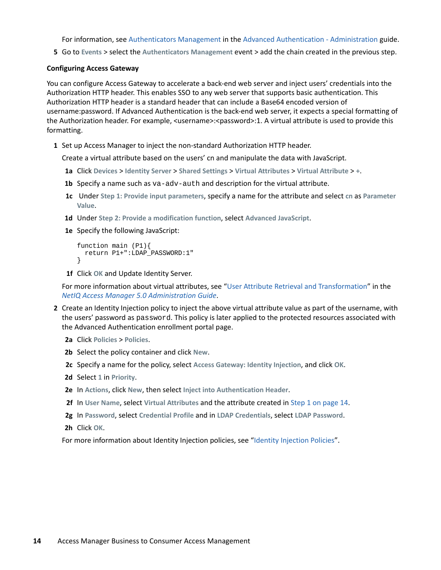For information, see [Authenticators Management](https://www.netiq.com/documentation/advanced-authentication-56/server-administrator-guide/data/configuring_event.html#b1og8fp4) in the [Advanced Authentication - Administration](https://www.netiq.com/documentation/advanced-authentication-56/server-administrator-guide/data/bookinfo.html) guide.

**5** Go to **Events** > select the **Authenticators Management** event > add the chain created in the previous step.

#### **Configuring Access Gateway**

You can configure Access Gateway to accelerate a back-end web server and inject users' credentials into the Authorization HTTP header. This enables SSO to any web server that supports basic authentication. This Authorization HTTP header is a standard header that can include a Base64 encoded version of username:password. If Advanced Authentication is the back-end web server, it expects a special formatting of the Authorization header. For example, <username>:<password>:1. A virtual attribute is used to provide this formatting.

<span id="page-13-0"></span>**1** Set up Access Manager to inject the non-standard Authorization HTTP header.

Create a virtual attribute based on the users' cn and manipulate the data with JavaScript.

- **1a** Click **Devices** > **Identity Server** > **Shared Settings** > **Virtual Attributes** > **Virtual Attribute** > **+**.
- **1b** Specify a name such as va-adv-auth and description for the virtual attribute.
- **1c** Under **Step 1: Provide input parameters**, specify a name for the attribute and select **cn** as **Parameter Value**.
- **1d** Under **Step 2: Provide a modification function**, select **Advanced JavaScript**.
- **1e** Specify the following JavaScript:

```
function main (P1){
  return P1+":LDAP_PASSWORD:1"
}
```
**1f** Click **OK** and Update Identity Server.

For more information about virtual attributes, see ["User Attribute Retrieval and Transformation](https://www.microfocus.com/documentation/access-manager/5.0/pdfdoc/admin/admin.pdf#userattributeretrievalandtransformation)" in the *[NetIQ Access Manager 5.0 Administration Guide](https://www.microfocus.com/documentation/access-manager/5.0/pdfdoc/admin/admin.pdf#bookinfo)*.

- <span id="page-13-1"></span>**2** Create an Identity Injection policy to inject the above virtual attribute value as part of the username, with the users' password as password. This policy is later applied to the protected resources associated with the Advanced Authentication enrollment portal page.
	- **2a** Click **Policies** > **Policies**.
	- **2b** Select the policy container and click **New**.
	- **2c** Specify a name for the policy, select **Access Gateway: Identity Injection**, and click **OK**.
	- **2d** Select **1** in **Priority**.
	- **2e** In **Actions**, click **New**, then select **Inject into Authentication Header**.
	- **2f** In **User Name**, select **Virtual Attributes** and the attribute created in [Step 1 on page 14](#page-13-0).
	- **2g** In **Password**, select **Credential Profile** and in **LDAP Credentials**, select **LDAP Password**.
	- **2h** Click **OK**.

For more information about Identity Injection policies, see "[Identity Injection Policies"](https://www.microfocus.com/documentation/access-manager/5.0/pdfdoc/admin/admin.pdf#b5547ku).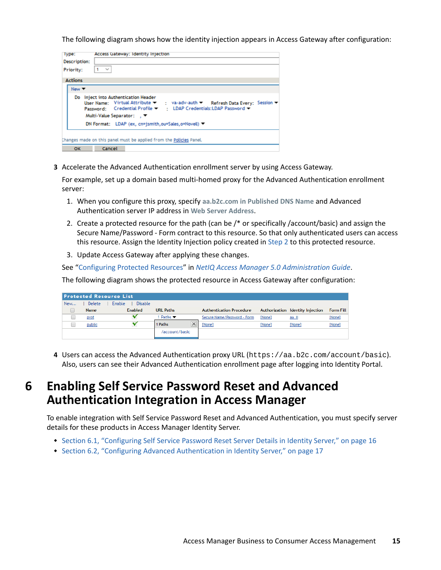The following diagram shows how the identity injection appears in Access Gateway after configuration:

| lype:                    | Access Gateway: Identity Injection                                                                                                                                                                                      |
|--------------------------|-------------------------------------------------------------------------------------------------------------------------------------------------------------------------------------------------------------------------|
| Description:             |                                                                                                                                                                                                                         |
| Priority:                | $1 - \vee$                                                                                                                                                                                                              |
| <b>Actions</b>           |                                                                                                                                                                                                                         |
| New $\blacktriangledown$ |                                                                                                                                                                                                                         |
|                          | Do Inject into Authentication Header<br>User Name: Virtual Attribute ▼ : va-adv-auth ▼ Refresh Data Every: Session ▼<br>Password: Credential Profile ▼ : LDAP Credentials: LDAP Password ▼<br>Multi-Value Separator: 、▼ |
|                          | DN Format: LDAP (ex, cn=jsmith,ou=Sales,o=Novell) ▼                                                                                                                                                                     |
|                          | Changes made on this panel must be applied from the Policies Panel.                                                                                                                                                     |
| OK                       | Cancel                                                                                                                                                                                                                  |

**3** Accelerate the Advanced Authentication enrollment server by using Access Gateway.

For example, set up a domain based multi-homed proxy for the Advanced Authentication enrollment server:

- 1. When you configure this proxy, specify **aa.b2c.com in Published DNS Name** and Advanced Authentication server IP address in **Web Server Address**.
- 2. Create a protected resource for the path (can be /\* or specifically /account/basic) and assign the Secure Name/Password - Form contract to this resource. So that only authenticated users can access this resource. Assign the Identity Injection policy created in [Step 2](#page-13-1) to this protected resource.
- 3. Update Access Gateway after applying these changes.

See ["Configuring Protected Resources](https://www.microfocus.com/documentation/access-manager/5.0/pdfdoc/admin/admin.pdf#prlist)" in *[NetIQ Access Manager 5.0 Administration Guide](https://www.microfocus.com/documentation/access-manager/5.0/pdfdoc/admin/admin.pdf#bookinfo)*.

The following diagram shows the protected resource in Access Gateway after configuration:

|     | <b>Protected Resource List</b> |                          |                           |                                 |        |                                  |                  |  |
|-----|--------------------------------|--------------------------|---------------------------|---------------------------------|--------|----------------------------------|------------------|--|
| New | Delete                         | <b>Disable</b><br>Enable |                           |                                 |        |                                  |                  |  |
|     | <b>Name</b>                    | <b>Enabled</b>           | <b>URL Paths</b>          | <b>Authentication Procedure</b> |        | Authorization Identity Injection | <b>Form Fill</b> |  |
|     | prot                           |                          | 1 Paths ▼                 | Secure Name/Password - Form     | [None] | aa ii                            | [None]           |  |
|     | public                         |                          | __<br>$\times$<br>1 Paths | [None]                          | [None] | [None]                           | [None]           |  |
|     |                                |                          | /account/basic            |                                 |        |                                  |                  |  |
|     |                                |                          |                           |                                 |        |                                  |                  |  |

**4** Users can access the Advanced Authentication proxy URL (https://aa.b2c.com/account/basic). Also, users can see their Advanced Authentication enrollment page after logging into Identity Portal.

# <span id="page-14-0"></span>**6 Enabling Self Service Password Reset and Advanced Authentication Integration in Access Manager**

To enable integration with Self Service Password Reset and Advanced Authentication, you must specify server details for these products in Access Manager Identity Server.

- [Section 6.1, "Configuring Self Service Password Reset Server Details in Identity Server," on page 16](#page-15-0)
- [Section 6.2, "Configuring Advanced Authentication in Identity Server," on page 17](#page-16-0)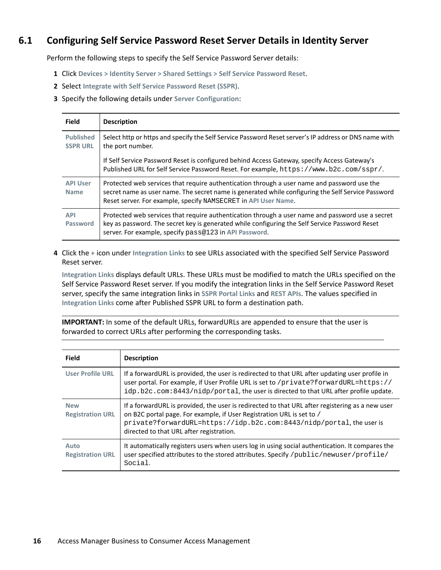### <span id="page-15-0"></span>**6.1 Configuring Self Service Password Reset Server Details in Identity Server**

Perform the following steps to specify the Self Service Password Server details:

- **1** Click **Devices > Identity Server > Shared Settings > Self Service Password Reset**.
- **2** Select **Integrate with Self Service Password Reset (SSPR)**.
- **3** Specify the following details under **Server Configuration**:

| <b>Field</b>                        | <b>Description</b>                                                                                                                                                                                                                                                  |
|-------------------------------------|---------------------------------------------------------------------------------------------------------------------------------------------------------------------------------------------------------------------------------------------------------------------|
| <b>Published</b><br><b>SSPR URL</b> | Select http or https and specify the Self Service Password Reset server's IP address or DNS name with<br>the port number.                                                                                                                                           |
|                                     | If Self Service Password Reset is configured behind Access Gateway, specify Access Gateway's<br>Published URL for Self Service Password Reset. For example, https://www.b2c.com/sspr/.                                                                              |
| <b>API User</b><br><b>Name</b>      | Protected web services that require authentication through a user name and password use the<br>secret name as user name. The secret name is generated while configuring the Self Service Password<br>Reset server. For example, specify NAMSECRET in API User Name. |
| <b>API</b><br>Password              | Protected web services that require authentication through a user name and password use a secret<br>key as password. The secret key is generated while configuring the Self Service Password Reset<br>server. For example, specify pass@123 in API Password.        |

**4** Click the **+** icon under **Integration Links** to see URLs associated with the specified Self Service Password Reset server.

**Integration Links** displays default URLs. These URLs must be modified to match the URLs specified on the Self Service Password Reset server. If you modify the integration links in the Self Service Password Reset server, specify the same integration links in **SSPR Portal Links** and **REST APIs**. The values specified in **Integration Links** come after Published SSPR URL to form a destination path.

**IMPORTANT:** In some of the default URLs, forwardURLs are appended to ensure that the user is forwarded to correct URLs after performing the corresponding tasks.

| <b>Field</b>                          | <b>Description</b>                                                                                                                                                                                                                                                                           |
|---------------------------------------|----------------------------------------------------------------------------------------------------------------------------------------------------------------------------------------------------------------------------------------------------------------------------------------------|
| <b>User Profile URL</b>               | If a forward URL is provided, the user is redirected to that URL after updating user profile in<br>user portal. For example, if User Profile URL is set to /private?forwardURL=https://<br>idp.b2c.com:8443/nidp/portal, the user is directed to that URL after profile update.              |
| <b>New</b><br><b>Registration URL</b> | If a forwardURL is provided, the user is redirected to that URL after registering as a new user<br>on B2C portal page. For example, if User Registration URL is set to /<br>private?forwardURL=https://idp.b2c.com:8443/nidp/portal, the user is<br>directed to that URL after registration. |
| Auto<br><b>Registration URL</b>       | It automatically registers users when users log in using social authentication. It compares the<br>user specified attributes to the stored attributes. Specify /public/newuser/profile/<br>Social.                                                                                           |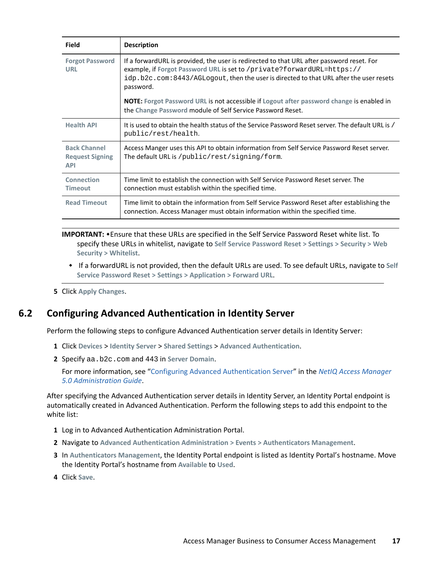| <b>Field</b>                                                | <b>Description</b>                                                                                                                                                                                                                                                         |  |  |
|-------------------------------------------------------------|----------------------------------------------------------------------------------------------------------------------------------------------------------------------------------------------------------------------------------------------------------------------------|--|--|
| <b>Forgot Password</b><br><b>URL</b>                        | If a forwardURL is provided, the user is redirected to that URL after password reset. For<br>example, if Forgot Password URL is set to /private?forwardURL=https://<br>idp.b2c.com:8443/AGLogout, then the user is directed to that URL after the user resets<br>password. |  |  |
|                                                             | <b>NOTE:</b> Forgot Password URL is not accessible if Logout after password change is enabled in<br>the Change Password module of Self Service Password Reset.                                                                                                             |  |  |
| <b>Health API</b>                                           | It is used to obtain the health status of the Service Password Reset server. The default URL is /<br>public/rest/health.                                                                                                                                                   |  |  |
| <b>Back Channel</b><br><b>Request Signing</b><br><b>API</b> | Access Manger uses this API to obtain information from Self Service Password Reset server.<br>The default URL is /public/rest/signing/form.                                                                                                                                |  |  |
| Connection<br><b>Timeout</b>                                | Time limit to establish the connection with Self Service Password Reset server. The<br>connection must establish within the specified time.                                                                                                                                |  |  |
| <b>Read Timeout</b>                                         | Time limit to obtain the information from Self Service Password Reset after establishing the<br>connection. Access Manager must obtain information within the specified time.                                                                                              |  |  |

**IMPORTANT:** Ensure that these URLs are specified in the Self Service Password Reset white list. To specify these URLs in whitelist, navigate to **Self Service Password Reset > Settings > Security > Web Security > Whitelist**.

- If a forwardURL is not provided, then the default URLs are used. To see default URLs, navigate to **Self Service Password Reset > Settings > Application > Forward URL**.
- **5** Click **Apply Changes**.

### <span id="page-16-0"></span>**6.2 Configuring Advanced Authentication in Identity Server**

Perform the following steps to configure Advanced Authentication server details in Identity Server:

- **1** Click **Devices** > **Identity Server** > **Shared Settings** > **Advanced Authentication**.
- **2** Specify aa.b2c.com and 443 in **Server Domain**.

For more information, see ["Configuring Advanced Authentication Server](https://www.microfocus.com/documentation/access-manager/5.0/pdfdoc/admin/admin.pdf#advauthserver)" in the *[NetIQ Access Manager](https://www.microfocus.com/documentation/access-manager/5.0/pdfdoc/admin/admin.pdf#bookinfo)  [5.0 Administration Guide](https://www.microfocus.com/documentation/access-manager/5.0/pdfdoc/admin/admin.pdf#bookinfo)*.

After specifying the Advanced Authentication server details in Identity Server, an Identity Portal endpoint is automatically created in Advanced Authentication. Perform the following steps to add this endpoint to the white list:

- **1** Log in to Advanced Authentication Administration Portal.
- **2** Navigate to **Advanced Authentication Administration > Events > Authenticators Management**.
- **3** In **Authenticators Management**, the Identity Portal endpoint is listed as Identity Portal's hostname. Move the Identity Portal's hostname from **Available** to **Used**.
- **4** Click **Save**.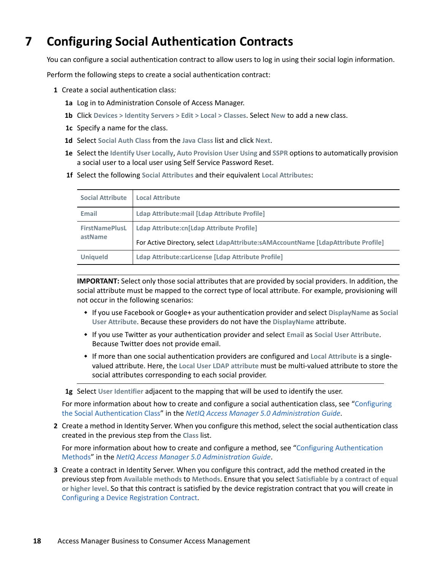# <span id="page-17-0"></span>**7 Configuring Social Authentication Contracts**

You can configure a social authentication contract to allow users to log in using their social login information.

Perform the following steps to create a social authentication contract:

- **1** Create a social authentication class:
	- **1a** Log in to Administration Console of Access Manager.
	- **1b** Click **Devices > Identity Servers > Edit > Local > Classes**. Select **New** to add a new class.
	- **1c** Specify a name for the class.
	- **1d** Select **Social Auth Class** from the **Java Class** list and click **Next**.
	- **1e** Select the **Identify User Locally**, **Auto Provision User Using** and **SSPR** options to automatically provision a social user to a local user using Self Service Password Reset.
	- **1f** Select the following **Social Attributes** and their equivalent **Local Attributes**:

| <b>Social Attribute</b>          | <b>Local Attribute</b>                                                            |
|----------------------------------|-----------------------------------------------------------------------------------|
| Email                            | Ldap Attribute: mail [Ldap Attribute Profile]                                     |
| <b>FirstNamePlusL</b><br>astName | Ldap Attribute:cn[Ldap Attribute Profile]                                         |
|                                  | For Active Directory, select LdapAttribute:sAMAccountName [LdapAttribute Profile] |
| <b>Uniqueld</b>                  | Ldap Attribute: carLicense [Ldap Attribute Profile]                               |

**IMPORTANT:** Select only those social attributes that are provided by social providers. In addition, the social attribute must be mapped to the correct type of local attribute. For example, provisioning will not occur in the following scenarios:

- If you use Facebook or Google+ as your authentication provider and select **DisplayName** as **Social User Attribute**. Because these providers do not have the **DisplayName** attribute.
- If you use Twitter as your authentication provider and select **Email** as **Social User Attribute**. Because Twitter does not provide email.
- If more than one social authentication providers are configured and **Local Attribute** is a singlevalued attribute. Here, the **Local User LDAP attribute** must be multi-valued attribute to store the social attributes corresponding to each social provider.

**1g** Select **User Identifier** adjacent to the mapping that will be used to identify the user.

For more information about how to create and configure a social authentication class, see "[Configuring](https://www.microfocus.com/documentation/access-manager/5.0/pdfdoc/admin/admin.pdf#socialauthproperties)  [the Social Authentication Class"](https://www.microfocus.com/documentation/access-manager/5.0/pdfdoc/admin/admin.pdf#socialauthproperties) in the *[NetIQ Access Manager 5.0 Administration Guide](https://www.microfocus.com/documentation/access-manager/5.0/pdfdoc/admin/admin.pdf#bookinfo)*.

**2** Create a method in Identity Server. When you configure this method, select the social authentication class created in the previous step from the **Class** list.

For more information about how to create and configure a method, see "[Configuring Authentication](https://www.microfocus.com/documentation/access-manager/5.0/pdfdoc/admin/admin.pdf#configureauthmethod)  [Methods](https://www.microfocus.com/documentation/access-manager/5.0/pdfdoc/admin/admin.pdf#configureauthmethod)" in the *[NetIQ Access Manager 5.0 Administration Guide](https://www.microfocus.com/documentation/access-manager/5.0/pdfdoc/admin/admin.pdf#bookinfo)*.

**3** Create a contract in Identity Server. When you configure this contract, add the method created in the previous step from **Available methods** to **Methods**. Ensure that you select **Satisfiable by a contract of equal or higher level**. So that this contract is satisfied by the device registration contract that you will create in [Configuring a Device Registration Contract.](#page-18-0)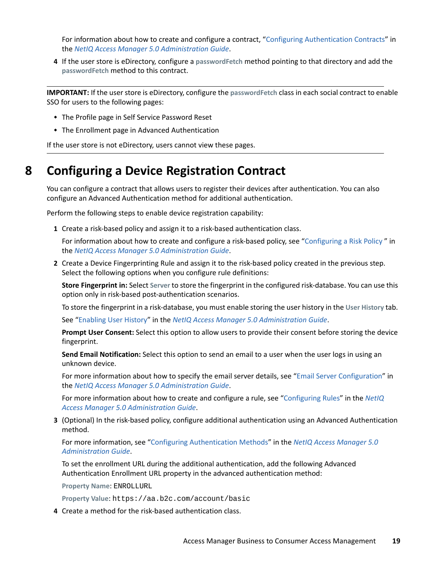For information about how to create and configure a contract, ["Configuring Authentication Contracts"](https://www.microfocus.com/documentation/access-manager/5.0/pdfdoc/admin/admin.pdf#localcontract) in the *[NetIQ Access Manager 5.0 Administration Guide](https://www.microfocus.com/documentation/access-manager/5.0/pdfdoc/admin/admin.pdf#bookinfo)*.

**4** If the user store is eDirectory, configure a **passwordFetch** method pointing to that directory and add the **passwordFetch** method to this contract.

**IMPORTANT:** If the user store is eDirectory, configure the **passwordFetch** class in each social contract to enable SSO for users to the following pages:

- The Profile page in Self Service Password Reset
- The Enrollment page in Advanced Authentication

If the user store is not eDirectory, users cannot view these pages.

## <span id="page-18-0"></span>**8 Configuring a Device Registration Contract**

You can configure a contract that allows users to register their devices after authentication. You can also configure an Advanced Authentication method for additional authentication.

Perform the following steps to enable device registration capability:

**1** Create a risk-based policy and assign it to a risk-based authentication class.

For information about how to create and configure a risk-based policy, see ["Configuring a Risk Policy "](https://www.microfocus.com/documentation/access-manager/5.0/pdfdoc/admin/admin.pdf#riskgroup) in the *[NetIQ Access Manager 5.0 Administration Guide](https://www.microfocus.com/documentation/access-manager/5.0/pdfdoc/admin/admin.pdf#bookinfo)*.

**2** Create a Device Fingerprinting Rule and assign it to the risk-based policy created in the previous step. Select the following options when you configure rule definitions:

**Store Fingerprint in:** Select **Server** to store the fingerprint in the configured risk-database. You can use this option only in risk-based post-authentication scenarios.

To store the fingerprint in a risk-database, you must enable storing the user history in the **User History** tab.

See ["Enabling User History"](https://www.microfocus.com/documentation/access-manager/5.0/pdfdoc/admin/admin.pdf#enableuserhistory) in the *[NetIQ Access Manager 5.0 Administration Guide](https://www.microfocus.com/documentation/access-manager/5.0/pdfdoc/admin/admin.pdf#bookinfo)*.

**Prompt User Consent:** Select this option to allow users to provide their consent before storing the device fingerprint.

**Send Email Notification:** Select this option to send an email to a user when the user logs in using an unknown device.

For more information about how to specify the email server details, see ["Email Server Configuration"](https://www.microfocus.com/documentation/access-manager/5.0/pdfdoc/admin/admin.pdf#mailserverconfig) in the *[NetIQ Access Manager 5.0 Administration Guide](https://www.microfocus.com/documentation/access-manager/5.0/pdfdoc/admin/admin.pdf#bookinfo)*.

For more information about how to create and configure a rule, see "[Configuring Rules"](https://www.microfocus.com/documentation/access-manager/5.0/pdfdoc/admin/admin.pdf#riskrule) in the *[NetIQ](https://www.microfocus.com/documentation/access-manager/5.0/pdfdoc/admin/admin.pdf#bookinfo)  [Access Manager 5.0 Administration Guide](https://www.microfocus.com/documentation/access-manager/5.0/pdfdoc/admin/admin.pdf#bookinfo)*.

**3** (Optional) In the risk-based policy, configure additional authentication using an Advanced Authentication method.

For more information, see ["Configuring Authentication Methods](https://www.microfocus.com/documentation/access-manager/5.0/pdfdoc/admin/admin.pdf#configureauthmethod)" in the *[NetIQ Access Manager 5.0](https://www.microfocus.com/documentation/access-manager/5.0/pdfdoc/admin/admin.pdf#bookinfo)  [Administration Guide](https://www.microfocus.com/documentation/access-manager/5.0/pdfdoc/admin/admin.pdf#bookinfo)*.

To set the enrollment URL during the additional authentication, add the following Advanced Authentication Enrollment URL property in the advanced authentication method:

**Property Name**: ENROLLURL

**Property Value**: https://aa.b2c.com/account/basic

**4** Create a method for the risk-based authentication class.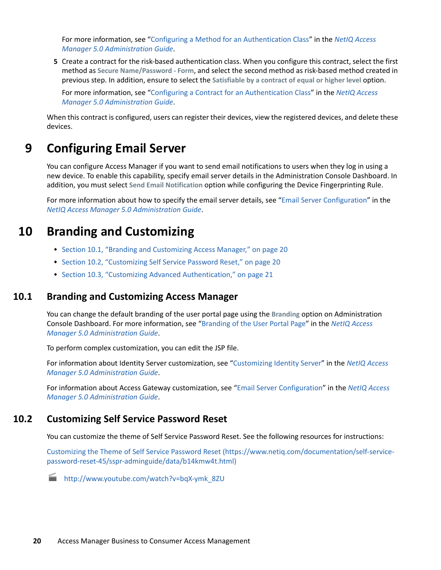For more information, see ["Configuring a Method for an Authentication Class](https://www.microfocus.com/documentation/access-manager/5.0/pdfdoc/admin/admin.pdf#riskmethod)" in the *[NetIQ Access](https://www.microfocus.com/documentation/access-manager/5.0/pdfdoc/admin/admin.pdf#bookinfo)  [Manager 5.0 Administration Guide](https://www.microfocus.com/documentation/access-manager/5.0/pdfdoc/admin/admin.pdf#bookinfo)*.

**5** Create a contract for the risk-based authentication class. When you configure this contract, select the first method as **Secure Name/Password - Form**, and select the second method as risk-based method created in previous step. In addition, ensure to select the **Satisfiable by a contract of equal or higher level** option.

For more information, see ["Configuring a Contract for an Authentication Class"](https://www.microfocus.com/documentation/access-manager/5.0/pdfdoc/admin/admin.pdf#riskcontract) in the *[NetIQ Access](https://www.microfocus.com/documentation/access-manager/5.0/pdfdoc/admin/admin.pdf#bookinfo)  [Manager 5.0 Administration Guide](https://www.microfocus.com/documentation/access-manager/5.0/pdfdoc/admin/admin.pdf#bookinfo)*.

When this contract is configured, users can register their devices, view the registered devices, and delete these devices.

### <span id="page-19-0"></span>**9 Configuring Email Server**

You can configure Access Manager if you want to send email notifications to users when they log in using a new device. To enable this capability, specify email server details in the Administration Console Dashboard. In addition, you must select **Send Email Notification** option while configuring the Device Fingerprinting Rule.

For more information about how to specify the email server details, see ["Email Server Configuration"](https://www.microfocus.com/documentation/access-manager/5.0/pdfdoc/admin/admin.pdf#mailserverconfig) in the *[NetIQ Access Manager 5.0 Administration Guide](https://www.microfocus.com/documentation/access-manager/5.0/pdfdoc/admin/admin.pdf#bookinfo)*.

### **10 Branding and Customizing**

- [Section 10.1, "Branding and Customizing Access Manager," on page](#page-19-1) 20
- [Section 10.2, "Customizing Self Service Password Reset," on page](#page-19-2) 20
- [Section 10.3, "Customizing Advanced Authentication," on page 21](#page-20-0)

### <span id="page-19-1"></span>**10.1 Branding and Customizing Access Manager**

You can change the default branding of the user portal page using the **Branding** option on Administration Console Dashboard. For more information, see "[Branding of the User Portal Page"](https://www.microfocus.com/documentation/access-manager/5.0/pdfdoc/admin/admin.pdf#branding) in the *[NetIQ Access](https://www.microfocus.com/documentation/access-manager/5.0/pdfdoc/admin/admin.pdf#bookinfo)  [Manager 5.0 Administration Guide](https://www.microfocus.com/documentation/access-manager/5.0/pdfdoc/admin/admin.pdf#bookinfo)*.

To perform complex customization, you can edit the JSP file.

For information about Identity Server customization, see "[Customizing Identity Server](https://www.microfocus.com/documentation/access-manager/5.0/pdfdoc/admin/admin.pdf#bok7icl)" in the *[NetIQ Access](https://www.microfocus.com/documentation/access-manager/5.0/pdfdoc/admin/admin.pdf#bookinfo)  [Manager 5.0 Administration Guide](https://www.microfocus.com/documentation/access-manager/5.0/pdfdoc/admin/admin.pdf#bookinfo)*.

For information about Access Gateway customization, see ["Email Server Configuration](https://www.microfocus.com/documentation/access-manager/5.0/pdfdoc/admin/admin.pdf#mailserverconfig)" in the *[NetIQ Access](https://www.microfocus.com/documentation/access-manager/5.0/pdfdoc/admin/admin.pdf#bookinfo)  [Manager 5.0 Administration Guide](https://www.microfocus.com/documentation/access-manager/5.0/pdfdoc/admin/admin.pdf#bookinfo)*.

#### <span id="page-19-2"></span>**10.2 Customizing Self Service Password Reset**

You can customize the theme of Self Service Password Reset. See the following resources for instructions:

[Customizing the Theme of Self Service Password Reset](https://www.netiq.com/documentation/self-service-password-reset-45/sspr-adminguide/data/b14kmw4t.html) (https://www.netiq.com/documentation/self-servicepassword-reset-45/sspr-adminguide/data/b14kmw4t.html)



[http://www.youtube.com/watch?v=bqX-ymk\\_8ZU](http://www.youtube.com/watch?v=bqX-ymk_8ZU)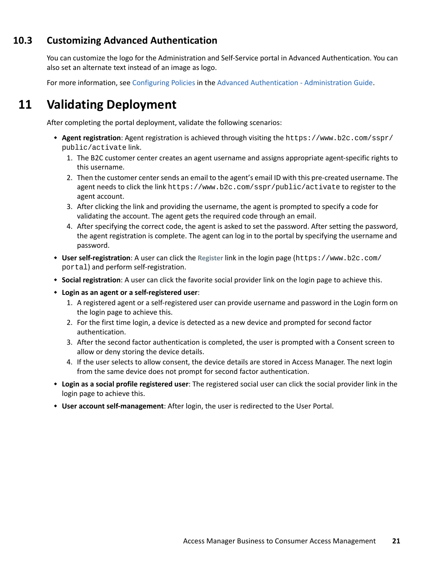### <span id="page-20-0"></span>**10.3 Customizing Advanced Authentication**

You can customize the logo for the Administration and Self-Service portal in Advanced Authentication. You can also set an alternate text instead of an image as logo.

For more information, see [Configuring Policies](https://www.netiq.com/documentation/advanced-authentication-56/server-administrator-guide/data/configuring_policy.html#b1oqe99n) in the [Advanced Authentication - Administration Guide.](https://www.netiq.com/documentation/advanced-authentication-56/server-administrator-guide/data/bookinfo.html)

# **11 Validating Deployment**

After completing the portal deployment, validate the following scenarios:

- **Agent registration**: Agent registration is achieved through visiting the https://www.b2c.com/sspr/ public/activate link.
	- 1. The B2C customer center creates an agent username and assigns appropriate agent-specific rights to this username.
	- 2. Then the customer center sends an email to the agent's email ID with this pre-created username. The agent needs to click the link https://www.b2c.com/sspr/public/activate to register to the agent account.
	- 3. After clicking the link and providing the username, the agent is prompted to specify a code for validating the account. The agent gets the required code through an email.
	- 4. After specifying the correct code, the agent is asked to set the password. After setting the password, the agent registration is complete. The agent can log in to the portal by specifying the username and password.
- **User self-registration**: A user can click the **Register** link in the login page (https://www.b2c.com/ portal) and perform self-registration.
- **Social registration**: A user can click the favorite social provider link on the login page to achieve this.
- **Login as an agent or a self-registered user**:
	- 1. A registered agent or a self-registered user can provide username and password in the Login form on the login page to achieve this.
	- 2. For the first time login, a device is detected as a new device and prompted for second factor authentication.
	- 3. After the second factor authentication is completed, the user is prompted with a Consent screen to allow or deny storing the device details.
	- 4. If the user selects to allow consent, the device details are stored in Access Manager. The next login from the same device does not prompt for second factor authentication.
- **Login as a social profile registered user**: The registered social user can click the social provider link in the login page to achieve this.
- **User account self-management**: After login, the user is redirected to the User Portal.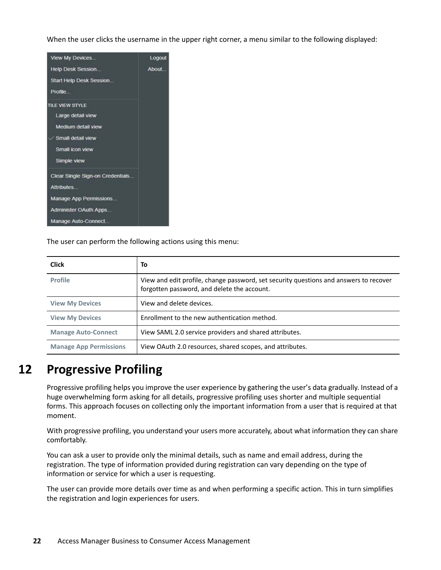When the user clicks the username in the upper right corner, a menu similar to the following displayed:



The user can perform the following actions using this menu:

| <b>Click</b>                  | To                                                                                                                                   |
|-------------------------------|--------------------------------------------------------------------------------------------------------------------------------------|
| <b>Profile</b>                | View and edit profile, change password, set security questions and answers to recover<br>forgotten password, and delete the account. |
| <b>View My Devices</b>        | View and delete devices.                                                                                                             |
| <b>View My Devices</b>        | Enrollment to the new authentication method.                                                                                         |
| <b>Manage Auto-Connect</b>    | View SAML 2.0 service providers and shared attributes.                                                                               |
| <b>Manage App Permissions</b> | View OAuth 2.0 resources, shared scopes, and attributes.                                                                             |

# **12 Progressive Profiling**

Progressive profiling helps you improve the user experience by gathering the user's data gradually. Instead of a huge overwhelming form asking for all details, progressive profiling uses shorter and multiple sequential forms. This approach focuses on collecting only the important information from a user that is required at that moment.

With progressive profiling, you understand your users more accurately, about what information they can share comfortably.

You can ask a user to provide only the minimal details, such as name and email address, during the registration. The type of information provided during registration can vary depending on the type of information or service for which a user is requesting.

The user can provide more details over time as and when performing a specific action. This in turn simplifies the registration and login experiences for users.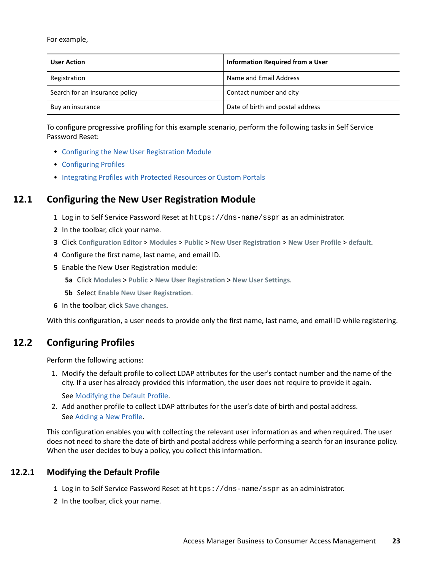For example,

| <b>User Action</b>             | Information Required from a User |
|--------------------------------|----------------------------------|
| Registration                   | Name and Email Address           |
| Search for an insurance policy | Contact number and city          |
| Buy an insurance               | Date of birth and postal address |

To configure progressive profiling for this example scenario, perform the following tasks in Self Service Password Reset:

- [Configuring the New User Registration Module](#page-22-0)
- [Configuring Profiles](#page-22-1)
- [Integrating Profiles with Protected Resources or Custom Portals](#page-23-2)

### <span id="page-22-0"></span>**12.1 Configuring the New User Registration Module**

- **1** Log in to Self Service Password Reset at https://dns-name/sspr as an administrator.
- **2** In the toolbar, click your name.
- **3** Click **Configuration Editor** > **Modules** > **Public** > **New User Registration** > **New User Profile** > **default**.
- **4** Configure the first name, last name, and email ID.
- **5** Enable the New User Registration module:
	- **5a** Click **Modules** > **Public** > **New User Registration** > **New User Settings**.
	- **5b** Select **Enable New User Registration**.
- **6** In the toolbar, click **Save changes**.

With this configuration, a user needs to provide only the first name, last name, and email ID while registering.

### <span id="page-22-1"></span>**12.2 Configuring Profiles**

Perform the following actions:

1. Modify the default profile to collect LDAP attributes for the user's contact number and the name of the city. If a user has already provided this information, the user does not require to provide it again.

See [Modifying the Default Profile.](#page-22-2)

2. Add another profile to collect LDAP attributes for the user's date of birth and postal address. See [Adding a New Profile.](#page-23-1)

This configuration enables you with collecting the relevant user information as and when required. The user does not need to share the date of birth and postal address while performing a search for an insurance policy. When the user decides to buy a policy, you collect this information.

#### <span id="page-22-2"></span>**12.2.1 Modifying the Default Profile**

- **1** Log in to Self Service Password Reset at https://dns-name/sspr as an administrator.
- **2** In the toolbar, click your name.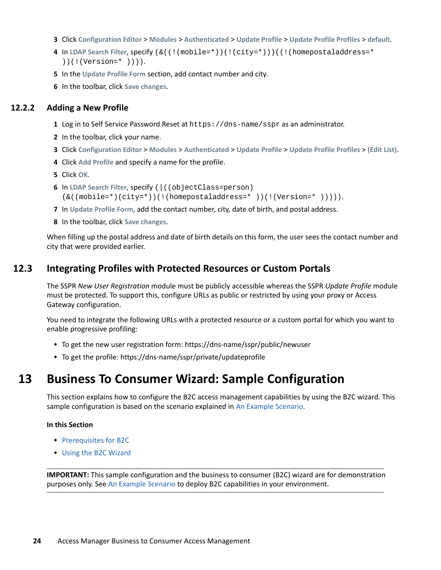- **3** Click **Configuration Editor** > **Modules** > **Authenticated** > **Update Profile** > **Update Profile Profiles** > **default**.
- **4** In **LDAP Search Filter**, specify (&((!(mobile=\*))(!(city=\*)))((!(homepostaladdress=\* ))(!(Version=\* )))).
- **5** In the **Update Profile Form** section, add contact number and city.
- **6** In the toolbar, click **Save changes**.

#### <span id="page-23-1"></span>**12.2.2 Adding a New Profile**

- **1** Log in to Self Service Password Reset at https://dns-name/sspr as an administrator.
- **2** In the toolbar, click your name.
- **3** Click **Configuration Editor** > **Modules** > **Authenticated** > **Update Profile** > **Update Profile Profiles** > **(Edit List)**.
- **4** Click **Add Profile** and specify a name for the profile.
- **5** Click **OK**.
- **6** In **LDAP Search Filter**, specify (|((objectClass=person) (&((mobile=\*)(city=\*))(!(homepostaladdress=\* ))(!(Version=\* ))))).
- **7** In **Update Profile Form**, add the contact number, city, date of birth, and postal address.
- **8** In the toolbar, click **Save changes**.

When filling up the postal address and date of birth details on this form, the user sees the contact number and city that were provided earlier.

#### <span id="page-23-2"></span>**12.3 Integrating Profiles with Protected Resources or Custom Portals**

The SSPR *New User Registration* module must be publicly accessible whereas the SSPR *Update Profile* module must be protected. To support this, configure URLs as public or restricted by using your proxy or Access Gateway configuration.

You need to integrate the following URLs with a protected resource or a custom portal for which you want to enable progressive profiling:

- To get the new user registration form: https://dns-name/sspr/public/newuser
- To get the profile: https://dns-name/sspr/private/updateprofile

### <span id="page-23-0"></span>**13 Business To Consumer Wizard: Sample Configuration**

This section explains how to configure the B2C access management capabilities by using the B2C wizard. This sample configuration is based on the scenario explained in [An Example Scenario.](#page-1-0)

#### **In this Section**

- [Prerequisites for B2C](#page-24-0)
- [Using the B2C Wizard](#page-24-1)

**IMPORTANT:** This sample configuration and the business to consumer (B2C) wizard are for demonstration purposes only. See [An Example Scenario](#page-1-0) to deploy B2C capabilities in your environment.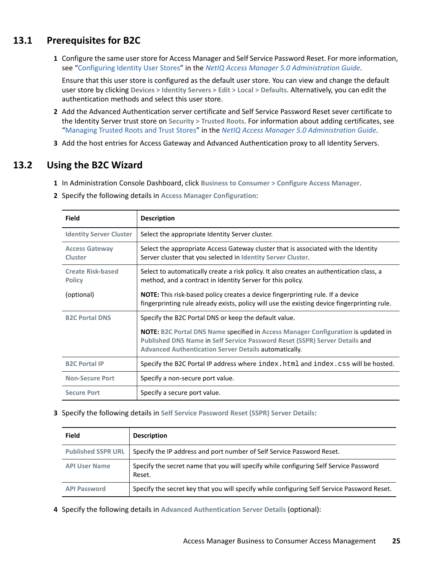### <span id="page-24-0"></span>**13.1 Prerequisites for B2C**

**1** Configure the same user store for Access Manager and Self Service Password Reset. For more information, see ["Configuring Identity User Stores](https://www.microfocus.com/documentation/access-manager/5.0/pdfdoc/admin/admin.pdf#userstoreslist)" in the *[NetIQ Access Manager 5.0 Administration Guide](https://www.microfocus.com/documentation/access-manager/5.0/pdfdoc/admin/admin.pdf#bookinfo)*.

Ensure that this user store is configured as the default user store. You can view and change the default user store by clicking **Devices > Identity Servers > Edit > Local > Defaults**. Alternatively, you can edit the authentication methods and select this user store.

- **2** Add the Advanced Authentication server certificate and Self Service Password Reset sever certificate to the Identity Server trust store on **Security > Trusted Roots**. For information about adding certificates, see "[Managing Trusted Roots and Trust Stores"](https://www.microfocus.com/documentation/access-manager/5.0/pdfdoc/admin/admin.pdf#trustedroots) in the *[NetIQ Access Manager 5.0 Administration Guide](https://www.microfocus.com/documentation/access-manager/5.0/pdfdoc/admin/admin.pdf#bookinfo)*.
- **3** Add the host entries for Access Gateway and Advanced Authentication proxy to all Identity Servers.

### <span id="page-24-1"></span>**13.2 Using the B2C Wizard**

- **1** In Administration Console Dashboard, click **Business to Consumer > Configure Access Manager**.
- **2** Specify the following details in **Access Manager Configuration**:

| Field                                     | <b>Description</b>                                                                                                                                                                                                                      |
|-------------------------------------------|-----------------------------------------------------------------------------------------------------------------------------------------------------------------------------------------------------------------------------------------|
| <b>Identity Server Cluster</b>            | Select the appropriate Identity Server cluster.                                                                                                                                                                                         |
| <b>Access Gateway</b><br><b>Cluster</b>   | Select the appropriate Access Gateway cluster that is associated with the Identity<br>Server cluster that you selected in Identity Server Cluster.                                                                                      |
| <b>Create Risk-based</b><br><b>Policy</b> | Select to automatically create a risk policy. It also creates an authentication class, a<br>method, and a contract in Identity Server for this policy.                                                                                  |
| (optional)                                | <b>NOTE:</b> This risk-based policy creates a device fingerprinting rule. If a device<br>fingerprinting rule already exists, policy will use the existing device fingerprinting rule.                                                   |
| <b>B2C Portal DNS</b>                     | Specify the B2C Portal DNS or keep the default value.                                                                                                                                                                                   |
|                                           | <b>NOTE:</b> B2C Portal DNS Name specified in Access Manager Configuration is updated in<br>Published DNS Name in Self Service Password Reset (SSPR) Server Details and<br><b>Advanced Authentication Server Details automatically.</b> |
| <b>B2C Portal IP</b>                      | Specify the B2C Portal IP address where index. html and index. css will be hosted.                                                                                                                                                      |
| <b>Non-Secure Port</b>                    | Specify a non-secure port value.                                                                                                                                                                                                        |
| <b>Secure Port</b>                        | Specify a secure port value.                                                                                                                                                                                                            |

**3** Specify the following details in **Self Service Password Reset (SSPR) Server Details**:

| <b>Field</b>              | <b>Description</b>                                                                              |
|---------------------------|-------------------------------------------------------------------------------------------------|
| <b>Published SSPR URL</b> | Specify the IP address and port number of Self Service Password Reset.                          |
| <b>API User Name</b>      | Specify the secret name that you will specify while configuring Self Service Password<br>Reset. |
| <b>API Password</b>       | Specify the secret key that you will specify while configuring Self Service Password Reset.     |

**4** Specify the following details in **Advanced Authentication Server Details** (optional):